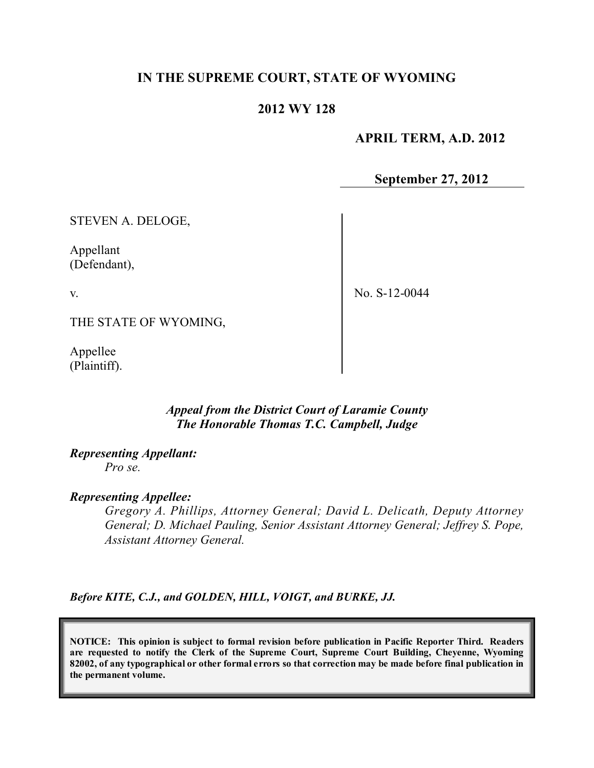# **IN THE SUPREME COURT, STATE OF WYOMING**

## **2012 WY 128**

 **APRIL TERM, A.D. 2012**

**September 27, 2012**

STEVEN A. DELOGE,

Appellant (Defendant),

v.

No. S-12-0044

THE STATE OF WYOMING,

Appellee (Plaintiff).

## *Appeal from the District Court of Laramie County The Honorable Thomas T.C. Campbell, Judge*

## *Representing Appellant:*

*Pro se.*

#### *Representing Appellee:*

*Gregory A. Phillips, Attorney General; David L. Delicath, Deputy Attorney General; D. Michael Pauling, Senior Assistant Attorney General; Jeffrey S. Pope, Assistant Attorney General.*

*Before KITE, C.J., and GOLDEN, HILL, VOIGT, and BURKE, JJ.*

**NOTICE: This opinion is subject to formal revision before publication in Pacific Reporter Third. Readers are requested to notify the Clerk of the Supreme Court, Supreme Court Building, Cheyenne, Wyoming** 82002, of any typographical or other formal errors so that correction may be made before final publication in **the permanent volume.**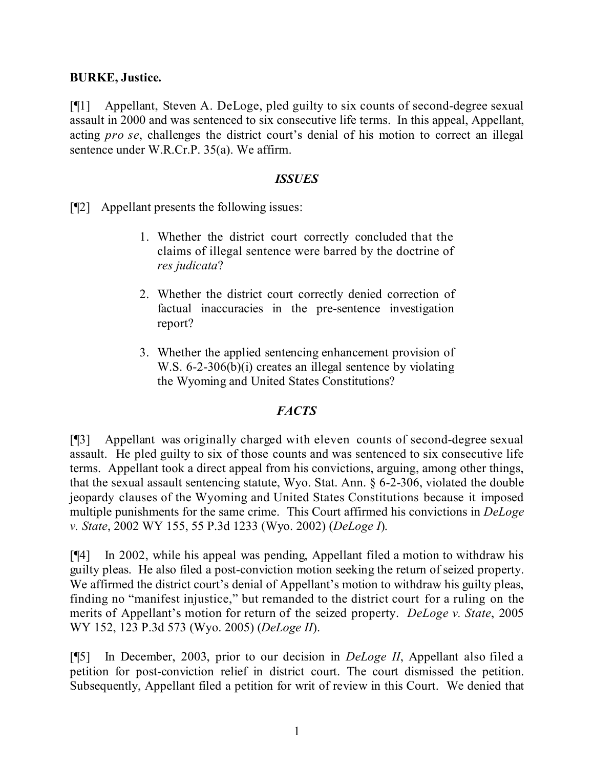# **BURKE, Justice.**

[¶1] Appellant, Steven A. DeLoge, pled guilty to six counts of second-degree sexual assault in 2000 and was sentenced to six consecutive life terms. In this appeal, Appellant, acting *pro se*, challenges the district court's denial of his motion to correct an illegal sentence under W.R.Cr.P. 35(a). We affirm.

## *ISSUES*

[¶2] Appellant presents the following issues:

- 1. Whether the district court correctly concluded that the claims of illegal sentence were barred by the doctrine of *res judicata*?
- 2. Whether the district court correctly denied correction of factual inaccuracies in the pre-sentence investigation report?
- 3. Whether the applied sentencing enhancement provision of W.S. 6-2-306(b)(i) creates an illegal sentence by violating the Wyoming and United States Constitutions?

# *FACTS*

[¶3] Appellant was originally charged with eleven counts of second-degree sexual assault. He pled guilty to six of those counts and was sentenced to six consecutive life terms. Appellant took a direct appeal from his convictions, arguing, among other things, that the sexual assault sentencing statute, Wyo. Stat. Ann. § 6-2-306, violated the double jeopardy clauses of the Wyoming and United States Constitutions because it imposed multiple punishments for the same crime. This Court affirmed his convictions in *DeLoge v. State*, 2002 WY 155, 55 P.3d 1233 (Wyo. 2002) (*DeLoge I*).

[¶4] In 2002, while his appeal was pending, Appellant filed a motion to withdraw his guilty pleas. He also filed a post-conviction motion seeking the return of seized property. We affirmed the district court's denial of Appellant's motion to withdraw his guilty pleas, finding no "manifest injustice," but remanded to the district court for a ruling on the merits of Appellant's motion for return of the seized property. *DeLoge v. State*, 2005 WY 152, 123 P.3d 573 (Wyo. 2005) (*DeLoge II*).

[¶5] In December, 2003, prior to our decision in *DeLoge II*, Appellant also filed a petition for post-conviction relief in district court. The court dismissed the petition. Subsequently, Appellant filed a petition for writ of review in this Court. We denied that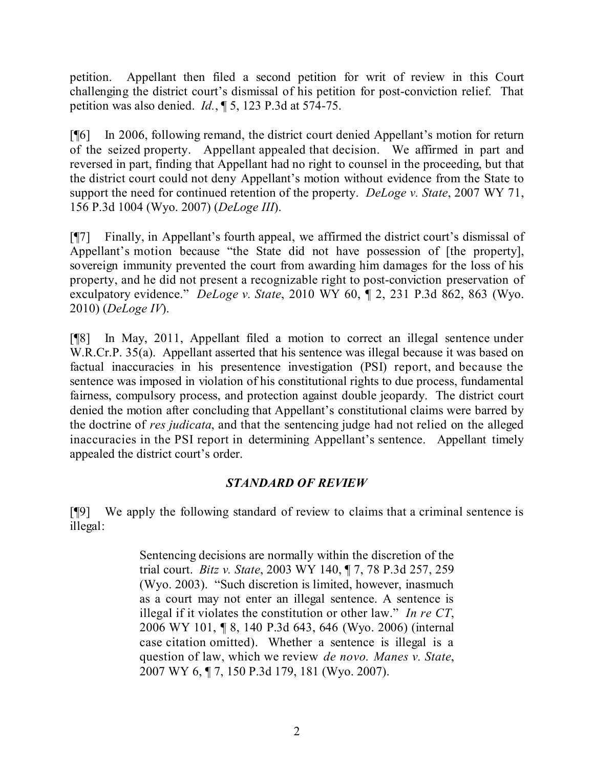petition. Appellant then filed a second petition for writ of review in this Court challenging the district court's dismissal of his petition for post-conviction relief. That petition was also denied. *Id.*, ¶ 5, 123 P.3d at 574-75.

[¶6] In 2006, following remand, the district court denied Appellant's motion for return of the seized property. Appellant appealed that decision. We affirmed in part and reversed in part, finding that Appellant had no right to counsel in the proceeding, but that the district court could not deny Appellant's motion without evidence from the State to support the need for continued retention of the property. *DeLoge v. State*, 2007 WY 71, 156 P.3d 1004 (Wyo. 2007) (*DeLoge III*).

[¶7] Finally, in Appellant's fourth appeal, we affirmed the district court's dismissal of Appellant's motion because "the State did not have possession of [the property], sovereign immunity prevented the court from awarding him damages for the loss of his property, and he did not present a recognizable right to post-conviction preservation of exculpatory evidence." *DeLoge v. State*, 2010 WY 60, ¶ 2, 231 P.3d 862, 863 (Wyo. 2010) (*DeLoge IV*).

[¶8] In May, 2011, Appellant filed a motion to correct an illegal sentence under W.R.Cr.P. 35(a). Appellant asserted that his sentence was illegal because it was based on factual inaccuracies in his presentence investigation (PSI) report, and because the sentence was imposed in violation of his constitutional rights to due process, fundamental fairness, compulsory process, and protection against double jeopardy. The district court denied the motion after concluding that Appellant's constitutional claims were barred by the doctrine of *res judicata*, and that the sentencing judge had not relied on the alleged inaccuracies in the PSI report in determining Appellant's sentence. Appellant timely appealed the district court's order.

# *STANDARD OF REVIEW*

[¶9] We apply the following standard of review to claims that a criminal sentence is illegal:

> Sentencing decisions are normally within the discretion of the trial court. *Bitz v. State*, 2003 WY 140, ¶ 7, 78 P.3d 257, 259 (Wyo. 2003). "Such discretion is limited, however, inasmuch as a court may not enter an illegal sentence. A sentence is illegal if it violates the constitution or other law." *In re CT*, 2006 WY 101, ¶ 8, 140 P.3d 643, 646 (Wyo. 2006) (internal case citation omitted). Whether a sentence is illegal is a question of law, which we review *de novo*. *Manes v. State*, 2007 WY 6, ¶ 7, 150 P.3d 179, 181 (Wyo. 2007).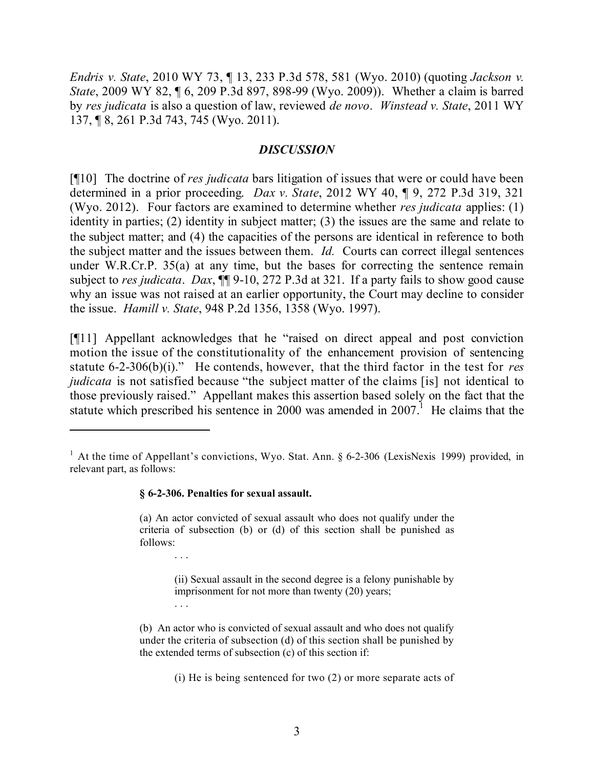*Endris v. State*, 2010 WY 73, ¶ 13, 233 P.3d 578, 581 (Wyo. 2010) (quoting *Jackson v. State*, 2009 WY 82, ¶ 6, 209 P.3d 897, 898-99 (Wyo. 2009)). Whether a claim is barred by *res judicata* is also a question of law, reviewed *de novo*. *Winstead v. State*, 2011 WY 137, ¶ 8, 261 P.3d 743, 745 (Wyo. 2011).

## *DISCUSSION*

[¶10] The doctrine of *res judicata* bars litigation of issues that were or could have been determined in a prior proceeding. *Dax v. State*, 2012 WY 40, ¶ 9, 272 P.3d 319, 321 (Wyo. 2012).Four factors are examined to determine whether *res judicata* applies: (1) identity in parties; (2) identity in subject matter; (3) the issues are the same and relate to the subject matter; and (4) the capacities of the persons are identical in reference to both the subject matter and the issues between them. *Id.* Courts can correct illegal sentences under W.R.Cr.P. 35(a) at any time, but the bases for correcting the sentence remain subject to *res judicata*. *Dax*, ¶¶ 9-10, 272 P.3d at 321. If a party fails to show good cause why an issue was not raised at an earlier opportunity, the Court may decline to consider the issue. *Hamill v. State*, 948 P.2d 1356, 1358 (Wyo. 1997).

[¶11] Appellant acknowledges that he "raised on direct appeal and post conviction motion the issue of the constitutionality of the enhancement provision of sentencing statute 6-2-306(b)(i)." He contends, however, that the third factor in the test for *res judicata* is not satisfied because "the subject matter of the claims [is] not identical to those previously raised." Appellant makes this assertion based solely on the fact that the statute which prescribed his sentence in 2000 was amended in 2007.<sup>1</sup> He claims that the

#### **§ 6-2-306. Penalties for sexual assault.**

. . .

. . .

(a) An actor convicted of sexual assault who does not qualify under the criteria of subsection (b) or (d) of this section shall be punished as follows:

> (ii) Sexual assault in the second degree is a felony punishable by imprisonment for not more than twenty (20) years;

(b) An actor who is convicted of sexual assault and who does not qualify under the criteria of subsection (d) of this section shall be punished by the extended terms of subsection (c) of this section if:

(i) He is being sentenced for two (2) or more separate acts of

<sup>&</sup>lt;sup>1</sup> At the time of Appellant's convictions, Wyo. Stat. Ann. § 6-2-306 (LexisNexis 1999) provided, in relevant part, as follows: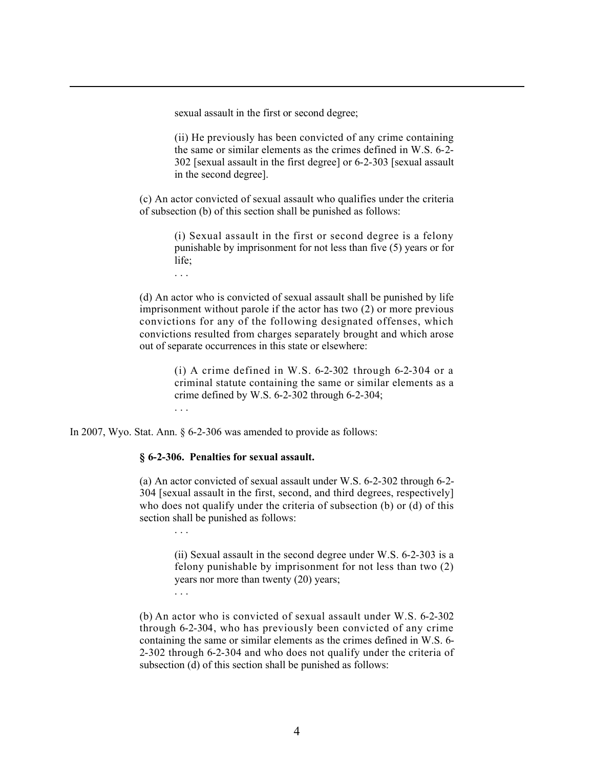sexual assault in the first or second degree;

(ii) He previously has been convicted of any crime containing the same or similar elements as the crimes defined in W.S. 6-2- 302 [sexual assault in the first degree] or 6-2-303 [sexual assault in the second degree].

l

(c) An actor convicted of sexual assault who qualifies under the criteria of subsection (b) of this section shall be punished as follows:

> (i) Sexual assault in the first or second degree is a felony punishable by imprisonment for not less than five (5) years or for life;

. . .

(d) An actor who is convicted of sexual assault shall be punished by life imprisonment without parole if the actor has two (2) or more previous convictions for any of the following designated offenses, which convictions resulted from charges separately brought and which arose out of separate occurrences in this state or elsewhere:

> (i) A crime defined in W.S.  $6-2-302$  through  $6-2-304$  or a criminal statute containing the same or similar elements as a crime defined by W.S. 6-2-302 through 6-2-304; . . .

In 2007, Wyo. Stat. Ann. § 6-2-306 was amended to provide as follows:

#### **§ 6-2-306. Penalties for sexual assault.**

(a) An actor convicted of sexual assault under W.S. 6-2-302 through 6-2- 304 [sexual assault in the first, second, and third degrees, respectively] who does not qualify under the criteria of subsection (b) or (d) of this section shall be punished as follows:

. . .

(ii) Sexual assault in the second degree under W.S. 6-2-303 is a felony punishable by imprisonment for not less than two (2) years nor more than twenty (20) years; . . .

(b) An actor who is convicted of sexual assault under W.S. 6-2-302 through 6-2-304, who has previously been convicted of any crime containing the same or similar elements as the crimes defined in W.S. 6- 2-302 through 6-2-304 and who does not qualify under the criteria of subsection (d) of this section shall be punished as follows: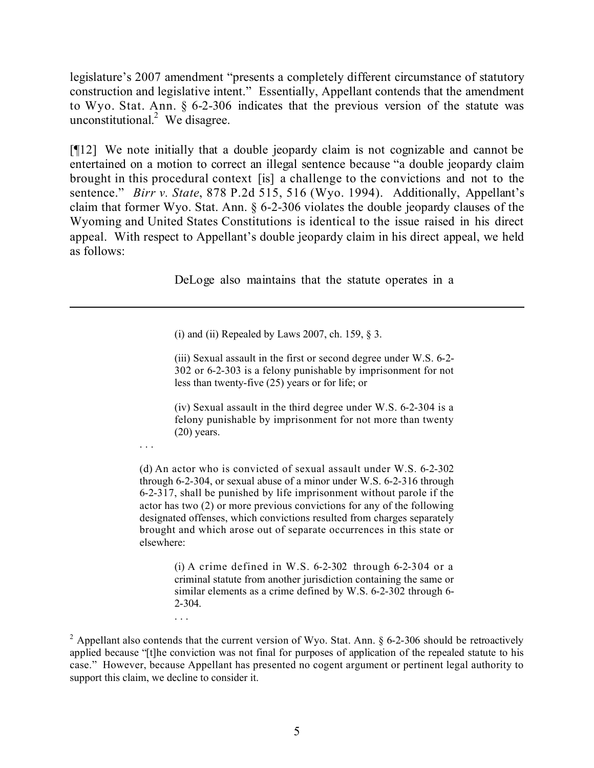legislature's 2007 amendment "presents a completely different circumstance of statutory construction and legislative intent." Essentially, Appellant contends that the amendment to Wyo. Stat. Ann. § 6-2-306 indicates that the previous version of the statute was unconstitutional. 2 We disagree.

[¶12] We note initially that a double jeopardy claim is not cognizable and cannot be entertained on a motion to correct an illegal sentence because "a double jeopardy claim brought in this procedural context [is] a challenge to the convictions and not to the sentence." *Birr v. State*, 878 P.2d 515, 516 (Wyo. 1994). Additionally, Appellant's claim that former Wyo. Stat. Ann. § 6-2-306 violates the double jeopardy clauses of the Wyoming and United States Constitutions is identical to the issue raised in his direct appeal. With respect to Appellant's double jeopardy claim in his direct appeal, we held as follows:

DeLoge also maintains that the statute operates in a

 $\overline{a}$ 

(i) and (ii) Repealed by Laws 2007, ch. 159,  $\S$  3.

. . .

. . .

(iii) Sexual assault in the first or second degree under W.S. 6-2- 302 or 6-2-303 is a felony punishable by imprisonment for not less than twenty-five (25) years or for life; or

(iv) Sexual assault in the third degree under W.S. 6-2-304 is a felony punishable by imprisonment for not more than twenty  $(20)$  years.

(d) An actor who is convicted of sexual assault under W.S. 6-2-302 through 6-2-304, or sexual abuse of a minor under W.S. 6-2-316 through 6-2-317, shall be punished by life imprisonment without parole if the actor has two (2) or more previous convictions for any of the following designated offenses, which convictions resulted from charges separately brought and which arose out of separate occurrences in this state or elsewhere:

> (i) A crime defined in W.S.  $6-2-302$  through  $6-2-304$  or a criminal statute from another jurisdiction containing the same or similar elements as a crime defined by W.S. 6-2-302 through 6- 2-304.

 $2$  Appellant also contends that the current version of Wyo. Stat. Ann. § 6-2-306 should be retroactively applied because "[t]he conviction was not final for purposes of application of the repealed statute to his case." However, because Appellant has presented no cogent argument or pertinent legal authority to support this claim, we decline to consider it.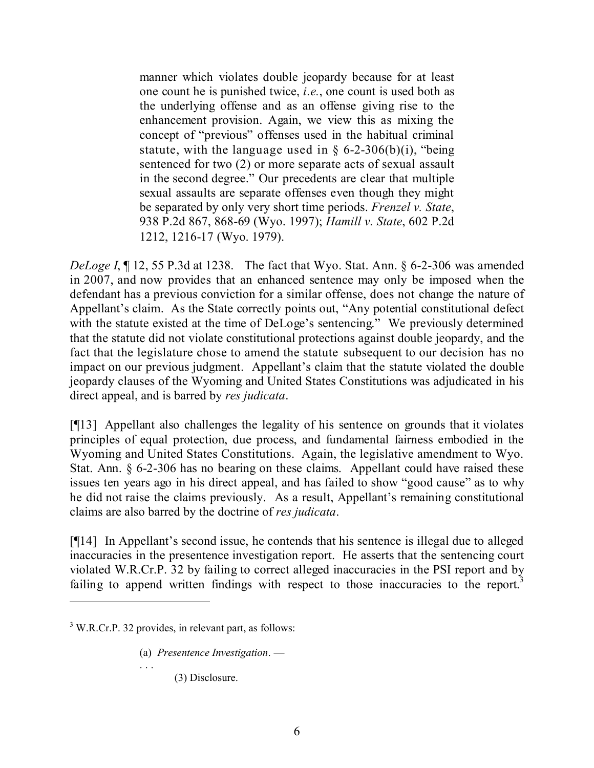manner which violates double jeopardy because for at least one count he is punished twice, *i.e.*, one count is used both as the underlying offense and as an offense giving rise to the enhancement provision. Again, we view this as mixing the concept of "previous" offenses used in the habitual criminal statute, with the language used in  $\S$  6-2-306(b)(i), "being sentenced for two (2) or more separate acts of sexual assault in the second degree." Our precedents are clear that multiple sexual assaults are separate offenses even though they might be separated by only very short time periods. *Frenzel v. State*, 938 P.2d 867, 868-69 (Wyo. 1997); *Hamill v. State*, 602 P.2d 1212, 1216-17 (Wyo. 1979).

*DeLoge I*, 12, 55 P.3d at 1238. The fact that Wyo. Stat. Ann. § 6-2-306 was amended in 2007, and now provides that an enhanced sentence may only be imposed when the defendant has a previous conviction for a similar offense, does not change the nature of Appellant's claim. As the State correctly points out, "Any potential constitutional defect with the statute existed at the time of DeLoge's sentencing." We previously determined that the statute did not violate constitutional protections against double jeopardy, and the fact that the legislature chose to amend the statute subsequent to our decision has no impact on our previous judgment. Appellant's claim that the statute violated the double jeopardy clauses of the Wyoming and United States Constitutions was adjudicated in his direct appeal, and is barred by *res judicata*.

[¶13] Appellant also challenges the legality of his sentence on grounds that it violates principles of equal protection, due process, and fundamental fairness embodied in the Wyoming and United States Constitutions. Again, the legislative amendment to Wyo. Stat. Ann. § 6-2-306 has no bearing on these claims. Appellant could have raised these issues ten years ago in his direct appeal, and has failed to show "good cause" as to why he did not raise the claims previously. As a result, Appellant's remaining constitutional claims are also barred by the doctrine of *res judicata*.

[¶14] In Appellant's second issue, he contends that his sentence is illegal due to alleged inaccuracies in the presentence investigation report. He asserts that the sentencing court violated W.R.Cr.P. 32 by failing to correct alleged inaccuracies in the PSI report and by failing to append written findings with respect to those inaccuracies to the report.<sup>3</sup>

. . .

(a) *Presentence Investigation*. —

(3) Disclosure.

 $3$  W.R.Cr.P. 32 provides, in relevant part, as follows: